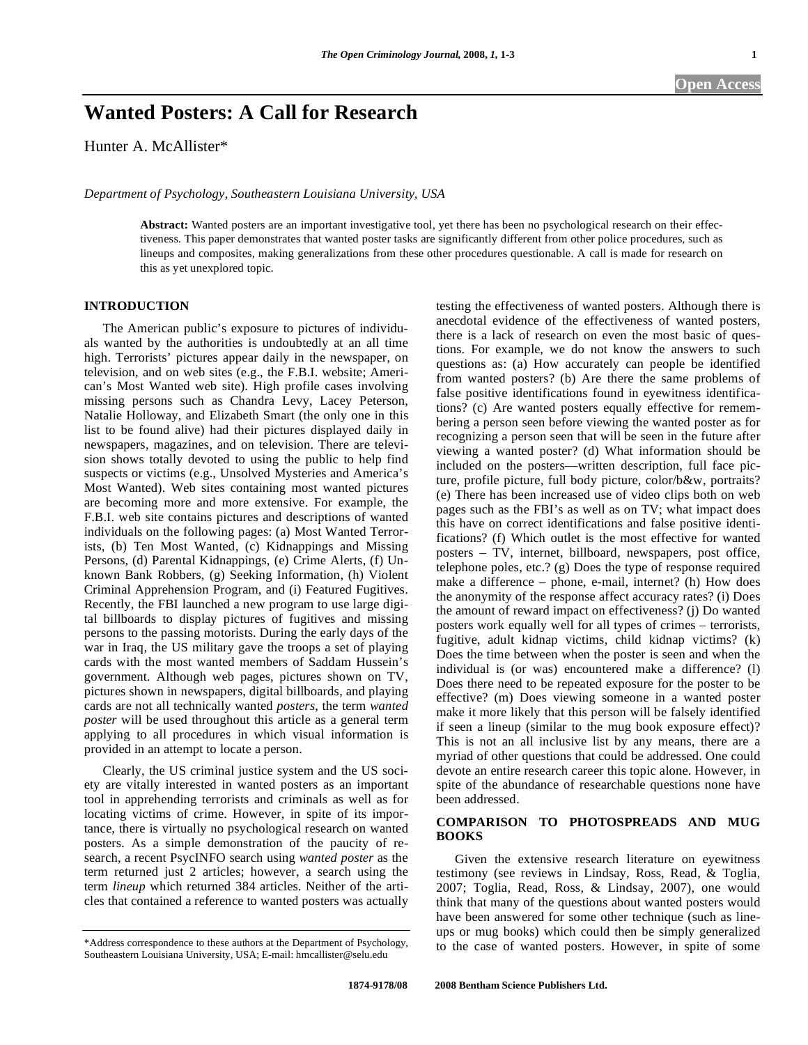# **Wanted Posters: A Call for Research**

Hunter A. McAllister\*

*Department of Psychology, Southeastern Louisiana University, USA* 

**Abstract:** Wanted posters are an important investigative tool, yet there has been no psychological research on their effectiveness. This paper demonstrates that wanted poster tasks are significantly different from other police procedures, such as lineups and composites, making generalizations from these other procedures questionable. A call is made for research on this as yet unexplored topic.

### **INTRODUCTION**

 The American public's exposure to pictures of individuals wanted by the authorities is undoubtedly at an all time high. Terrorists' pictures appear daily in the newspaper, on television, and on web sites (e.g., the F.B.I. website; American's Most Wanted web site). High profile cases involving missing persons such as Chandra Levy, Lacey Peterson, Natalie Holloway, and Elizabeth Smart (the only one in this list to be found alive) had their pictures displayed daily in newspapers, magazines, and on television. There are television shows totally devoted to using the public to help find suspects or victims (e.g., Unsolved Mysteries and America's Most Wanted). Web sites containing most wanted pictures are becoming more and more extensive. For example, the F.B.I. web site contains pictures and descriptions of wanted individuals on the following pages: (a) Most Wanted Terrorists, (b) Ten Most Wanted, (c) Kidnappings and Missing Persons, (d) Parental Kidnappings, (e) Crime Alerts, (f) Unknown Bank Robbers, (g) Seeking Information, (h) Violent Criminal Apprehension Program, and (i) Featured Fugitives. Recently, the FBI launched a new program to use large digital billboards to display pictures of fugitives and missing persons to the passing motorists. During the early days of the war in Iraq, the US military gave the troops a set of playing cards with the most wanted members of Saddam Hussein's government. Although web pages, pictures shown on TV, pictures shown in newspapers, digital billboards, and playing cards are not all technically wanted *posters*, the term *wanted poster* will be used throughout this article as a general term applying to all procedures in which visual information is provided in an attempt to locate a person.

 Clearly, the US criminal justice system and the US society are vitally interested in wanted posters as an important tool in apprehending terrorists and criminals as well as for locating victims of crime. However, in spite of its importance, there is virtually no psychological research on wanted posters. As a simple demonstration of the paucity of research, a recent PsycINFO search using *wanted poster* as the term returned just 2 articles; however, a search using the term *lineup* which returned 384 articles. Neither of the articles that contained a reference to wanted posters was actually testing the effectiveness of wanted posters. Although there is anecdotal evidence of the effectiveness of wanted posters, there is a lack of research on even the most basic of questions. For example, we do not know the answers to such questions as: (a) How accurately can people be identified from wanted posters? (b) Are there the same problems of false positive identifications found in eyewitness identifications? (c) Are wanted posters equally effective for remembering a person seen before viewing the wanted poster as for recognizing a person seen that will be seen in the future after viewing a wanted poster? (d) What information should be included on the posters—written description, full face picture, profile picture, full body picture, color/b&w, portraits? (e) There has been increased use of video clips both on web pages such as the FBI's as well as on TV; what impact does this have on correct identifications and false positive identifications? (f) Which outlet is the most effective for wanted posters – TV, internet, billboard, newspapers, post office, telephone poles, etc.? (g) Does the type of response required make a difference – phone, e-mail, internet? (h) How does the anonymity of the response affect accuracy rates? (i) Does the amount of reward impact on effectiveness? (j) Do wanted posters work equally well for all types of crimes – terrorists, fugitive, adult kidnap victims, child kidnap victims? (k) Does the time between when the poster is seen and when the individual is (or was) encountered make a difference? (l) Does there need to be repeated exposure for the poster to be effective? (m) Does viewing someone in a wanted poster make it more likely that this person will be falsely identified if seen a lineup (similar to the mug book exposure effect)? This is not an all inclusive list by any means, there are a myriad of other questions that could be addressed. One could devote an entire research career this topic alone. However, in spite of the abundance of researchable questions none have been addressed.

## **COMPARISON TO PHOTOSPREADS AND MUG BOOKS**

 Given the extensive research literature on eyewitness testimony (see reviews in Lindsay, Ross, Read, & Toglia, 2007; Toglia, Read, Ross, & Lindsay, 2007), one would think that many of the questions about wanted posters would have been answered for some other technique (such as lineups or mug books) which could then be simply generalized to the case of wanted posters. However, in spite of some

<sup>\*</sup>Address correspondence to these authors at the Department of Psychology, Southeastern Louisiana University, USA; E-mail: hmcallister@selu.edu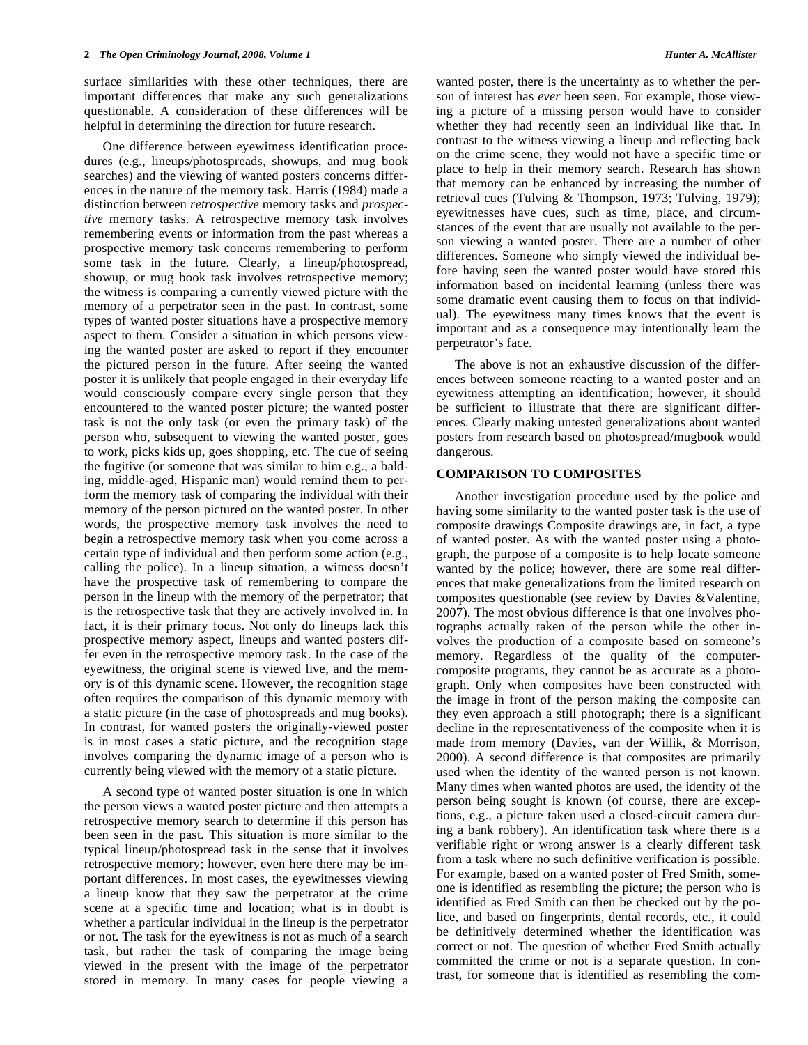surface similarities with these other techniques, there are important differences that make any such generalizations questionable. A consideration of these differences will be helpful in determining the direction for future research.

 One difference between eyewitness identification procedures (e.g., lineups/photospreads, showups, and mug book searches) and the viewing of wanted posters concerns differences in the nature of the memory task. Harris (1984) made a distinction between *retrospective* memory tasks and *prospective* memory tasks. A retrospective memory task involves remembering events or information from the past whereas a prospective memory task concerns remembering to perform some task in the future. Clearly, a lineup/photospread, showup, or mug book task involves retrospective memory; the witness is comparing a currently viewed picture with the memory of a perpetrator seen in the past. In contrast, some types of wanted poster situations have a prospective memory aspect to them. Consider a situation in which persons viewing the wanted poster are asked to report if they encounter the pictured person in the future. After seeing the wanted poster it is unlikely that people engaged in their everyday life would consciously compare every single person that they encountered to the wanted poster picture; the wanted poster task is not the only task (or even the primary task) of the person who, subsequent to viewing the wanted poster, goes to work, picks kids up, goes shopping, etc. The cue of seeing the fugitive (or someone that was similar to him e.g., a balding, middle-aged, Hispanic man) would remind them to perform the memory task of comparing the individual with their memory of the person pictured on the wanted poster. In other words, the prospective memory task involves the need to begin a retrospective memory task when you come across a certain type of individual and then perform some action (e.g., calling the police). In a lineup situation, a witness doesn't have the prospective task of remembering to compare the person in the lineup with the memory of the perpetrator; that is the retrospective task that they are actively involved in. In fact, it is their primary focus. Not only do lineups lack this prospective memory aspect, lineups and wanted posters differ even in the retrospective memory task. In the case of the eyewitness, the original scene is viewed live, and the memory is of this dynamic scene. However, the recognition stage often requires the comparison of this dynamic memory with a static picture (in the case of photospreads and mug books). In contrast, for wanted posters the originally-viewed poster is in most cases a static picture, and the recognition stage involves comparing the dynamic image of a person who is currently being viewed with the memory of a static picture.

 A second type of wanted poster situation is one in which the person views a wanted poster picture and then attempts a retrospective memory search to determine if this person has been seen in the past. This situation is more similar to the typical lineup/photospread task in the sense that it involves retrospective memory; however, even here there may be important differences. In most cases, the eyewitnesses viewing a lineup know that they saw the perpetrator at the crime scene at a specific time and location; what is in doubt is whether a particular individual in the lineup is the perpetrator or not. The task for the eyewitness is not as much of a search task, but rather the task of comparing the image being viewed in the present with the image of the perpetrator stored in memory. In many cases for people viewing a

wanted poster, there is the uncertainty as to whether the person of interest has *ever* been seen. For example, those viewing a picture of a missing person would have to consider whether they had recently seen an individual like that. In contrast to the witness viewing a lineup and reflecting back on the crime scene, they would not have a specific time or place to help in their memory search. Research has shown that memory can be enhanced by increasing the number of retrieval cues (Tulving & Thompson, 1973; Tulving, 1979); eyewitnesses have cues, such as time, place, and circumstances of the event that are usually not available to the person viewing a wanted poster. There are a number of other differences. Someone who simply viewed the individual before having seen the wanted poster would have stored this information based on incidental learning (unless there was some dramatic event causing them to focus on that individual). The eyewitness many times knows that the event is important and as a consequence may intentionally learn the perpetrator's face.

 The above is not an exhaustive discussion of the differences between someone reacting to a wanted poster and an eyewitness attempting an identification; however, it should be sufficient to illustrate that there are significant differences. Clearly making untested generalizations about wanted posters from research based on photospread/mugbook would dangerous.

### **COMPARISON TO COMPOSITES**

 Another investigation procedure used by the police and having some similarity to the wanted poster task is the use of composite drawings Composite drawings are, in fact, a type of wanted poster. As with the wanted poster using a photograph, the purpose of a composite is to help locate someone wanted by the police; however, there are some real differences that make generalizations from the limited research on composites questionable (see review by Davies &Valentine, 2007). The most obvious difference is that one involves photographs actually taken of the person while the other involves the production of a composite based on someone's memory. Regardless of the quality of the computercomposite programs, they cannot be as accurate as a photograph. Only when composites have been constructed with the image in front of the person making the composite can they even approach a still photograph; there is a significant decline in the representativeness of the composite when it is made from memory (Davies, van der Willik, & Morrison, 2000). A second difference is that composites are primarily used when the identity of the wanted person is not known. Many times when wanted photos are used, the identity of the person being sought is known (of course, there are exceptions, e.g., a picture taken used a closed-circuit camera during a bank robbery). An identification task where there is a verifiable right or wrong answer is a clearly different task from a task where no such definitive verification is possible. For example, based on a wanted poster of Fred Smith, someone is identified as resembling the picture; the person who is identified as Fred Smith can then be checked out by the police, and based on fingerprints, dental records, etc., it could be definitively determined whether the identification was correct or not. The question of whether Fred Smith actually committed the crime or not is a separate question. In contrast, for someone that is identified as resembling the com-